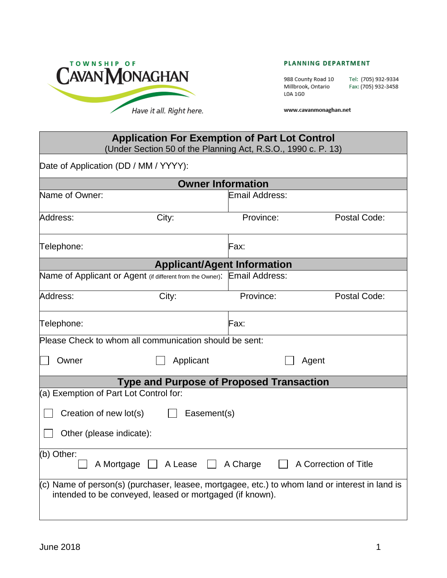

PLANNING DEPARTMENT

988 County Road 10 Millbrook, Ontario L0A 1G0

Tel: (705) 932-9334 Fax: (705) 932-3458

www.cavanmonaghan.net

### **Application For Exemption of Part Lot Control** (Under Section 50 of the Planning Act, R.S.O., 1990 c. P. 13)

Date of Application (DD / MM / YYYY):

| <b>Owner Information</b>                                                                                                                                   |                                                 |                       |  |  |  |  |
|------------------------------------------------------------------------------------------------------------------------------------------------------------|-------------------------------------------------|-----------------------|--|--|--|--|
| Name of Owner:                                                                                                                                             | Email Address:                                  |                       |  |  |  |  |
| City:<br>Address:                                                                                                                                          | Province:                                       | Postal Code:          |  |  |  |  |
| Telephone:                                                                                                                                                 | Fax:                                            |                       |  |  |  |  |
|                                                                                                                                                            | <b>Applicant/Agent Information</b>              |                       |  |  |  |  |
| Name of Applicant or Agent (if different from the Owner):                                                                                                  | <b>Email Address:</b>                           |                       |  |  |  |  |
| City:<br>Address:                                                                                                                                          | Province:                                       | Postal Code:          |  |  |  |  |
| Telephone:                                                                                                                                                 | Fax:                                            |                       |  |  |  |  |
| Please Check to whom all communication should be sent:                                                                                                     |                                                 |                       |  |  |  |  |
| Applicant<br>Owner                                                                                                                                         |                                                 | Agent                 |  |  |  |  |
|                                                                                                                                                            | <b>Type and Purpose of Proposed Transaction</b> |                       |  |  |  |  |
| (a) Exemption of Part Lot Control for:                                                                                                                     |                                                 |                       |  |  |  |  |
| Creation of new lot(s)<br>Easement(s)                                                                                                                      |                                                 |                       |  |  |  |  |
| Other (please indicate):                                                                                                                                   |                                                 |                       |  |  |  |  |
| (b) Other:                                                                                                                                                 |                                                 |                       |  |  |  |  |
| A Mortgage   A Lease                                                                                                                                       | A Charge                                        | A Correction of Title |  |  |  |  |
| (c) Name of person(s) (purchaser, leasee, mortgagee, etc.) to whom land or interest in land is<br>intended to be conveyed, leased or mortgaged (if known). |                                                 |                       |  |  |  |  |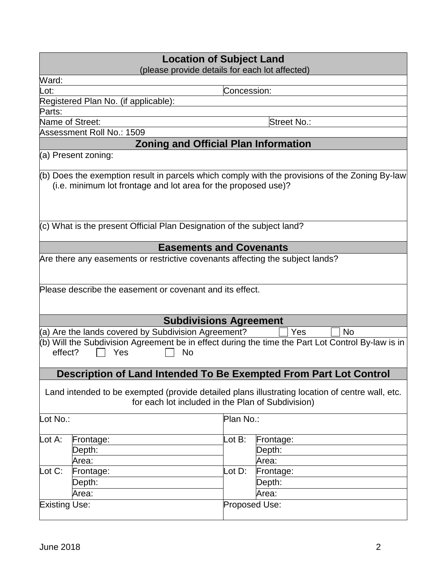| <b>Location of Subject Land</b> |                                                                                                                                                      |               |                                                                                                                       |  |
|---------------------------------|------------------------------------------------------------------------------------------------------------------------------------------------------|---------------|-----------------------------------------------------------------------------------------------------------------------|--|
|                                 | (please provide details for each lot affected)                                                                                                       |               |                                                                                                                       |  |
| Ward:                           |                                                                                                                                                      |               |                                                                                                                       |  |
| Lot:                            |                                                                                                                                                      | Concession:   |                                                                                                                       |  |
|                                 | Registered Plan No. (if applicable):                                                                                                                 |               |                                                                                                                       |  |
| Parts:                          |                                                                                                                                                      |               |                                                                                                                       |  |
| Name of Street:                 |                                                                                                                                                      |               | Street No.:                                                                                                           |  |
|                                 | Assessment Roll No.: 1509                                                                                                                            |               |                                                                                                                       |  |
|                                 | <b>Zoning and Official Plan Information</b>                                                                                                          |               |                                                                                                                       |  |
|                                 | (a) Present zoning:                                                                                                                                  |               |                                                                                                                       |  |
|                                 | (i.e. minimum lot frontage and lot area for the proposed use)?                                                                                       |               | (b) Does the exemption result in parcels which comply with the provisions of the Zoning By-law                        |  |
|                                 | (c) What is the present Official Plan Designation of the subject land?                                                                               |               |                                                                                                                       |  |
|                                 | <b>Easements and Covenants</b>                                                                                                                       |               |                                                                                                                       |  |
|                                 | Are there any easements or restrictive covenants affecting the subject lands?                                                                        |               |                                                                                                                       |  |
|                                 | Please describe the easement or covenant and its effect.                                                                                             |               |                                                                                                                       |  |
|                                 | <b>Subdivisions Agreement</b>                                                                                                                        |               |                                                                                                                       |  |
| effect?                         | (a) Are the lands covered by Subdivision Agreement?<br>Yes<br>No<br>Description of Land Intended To Be Exempted From Part Lot Control                |               | <b>No</b><br>Yes<br>(b) Will the Subdivision Agreement be in effect during the time the Part Lot Control By-law is in |  |
|                                 |                                                                                                                                                      |               |                                                                                                                       |  |
|                                 | Land intended to be exempted (provide detailed plans illustrating location of centre wall, etc.<br>for each lot included in the Plan of Subdivision) |               |                                                                                                                       |  |
| Lot No.:                        |                                                                                                                                                      | Plan No.:     |                                                                                                                       |  |
| Lot A:                          | Frontage:                                                                                                                                            | Lot B:        | Frontage:                                                                                                             |  |
|                                 | Depth:                                                                                                                                               |               | Depth:                                                                                                                |  |
|                                 | Area:                                                                                                                                                |               | Area:                                                                                                                 |  |
| Lot C:                          | Frontage:                                                                                                                                            | Lot D:        | Frontage:                                                                                                             |  |
|                                 | Depth:                                                                                                                                               |               | Depth:                                                                                                                |  |
|                                 | Area:                                                                                                                                                |               | Area:                                                                                                                 |  |
| <b>Existing Use:</b>            |                                                                                                                                                      | Proposed Use: |                                                                                                                       |  |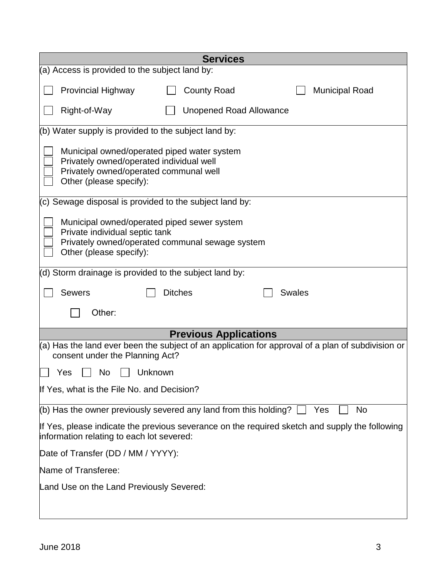| <b>Services</b>                                                                                                                                              |  |  |  |  |  |
|--------------------------------------------------------------------------------------------------------------------------------------------------------------|--|--|--|--|--|
| $(a)$ Access is provided to the subject land by:                                                                                                             |  |  |  |  |  |
| <b>Provincial Highway</b><br><b>County Road</b><br><b>Municipal Road</b>                                                                                     |  |  |  |  |  |
| Right-of-Way<br><b>Unopened Road Allowance</b>                                                                                                               |  |  |  |  |  |
| (b) Water supply is provided to the subject land by:                                                                                                         |  |  |  |  |  |
| Municipal owned/operated piped water system<br>Privately owned/operated individual well<br>Privately owned/operated communal well<br>Other (please specify): |  |  |  |  |  |
| $(c)$ Sewage disposal is provided to the subject land by:                                                                                                    |  |  |  |  |  |
| Municipal owned/operated piped sewer system<br>Private individual septic tank<br>Privately owned/operated communal sewage system<br>Other (please specify):  |  |  |  |  |  |
| (d) Storm drainage is provided to the subject land by:                                                                                                       |  |  |  |  |  |
| <b>Ditches</b><br><b>Swales</b><br><b>Sewers</b>                                                                                                             |  |  |  |  |  |
| Other:                                                                                                                                                       |  |  |  |  |  |
| <b>Previous Applications</b>                                                                                                                                 |  |  |  |  |  |
| $(a)$ Has the land ever been the subject of an application for approval of a plan of subdivision or<br>consent under the Planning Act?                       |  |  |  |  |  |
| Unknown<br>Yes<br>No                                                                                                                                         |  |  |  |  |  |
| If Yes, what is the File No. and Decision?                                                                                                                   |  |  |  |  |  |
| (b) Has the owner previously severed any land from this holding?<br><b>No</b><br>Yes                                                                         |  |  |  |  |  |
| If Yes, please indicate the previous severance on the required sketch and supply the following<br>information relating to each lot severed:                  |  |  |  |  |  |
| Date of Transfer (DD / MM / YYYY):                                                                                                                           |  |  |  |  |  |
| Name of Transferee:                                                                                                                                          |  |  |  |  |  |
| Land Use on the Land Previously Severed:                                                                                                                     |  |  |  |  |  |
|                                                                                                                                                              |  |  |  |  |  |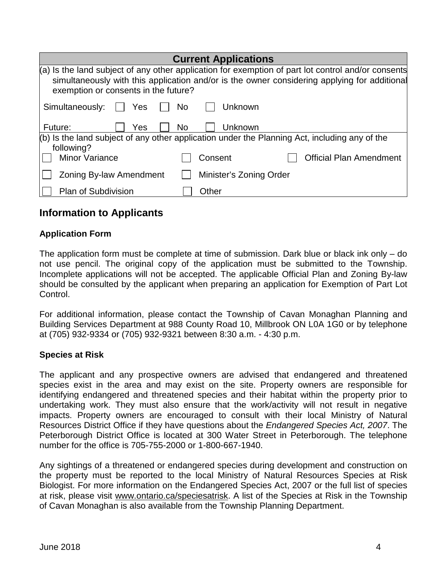| <b>Current Applications</b>                                                                                                                                                                                                                  |  |  |  |  |
|----------------------------------------------------------------------------------------------------------------------------------------------------------------------------------------------------------------------------------------------|--|--|--|--|
| $(a)$ is the land subject of any other application for exemption of part lot control and/or consents<br>simultaneously with this application and/or is the owner considering applying for additional<br>exemption or consents in the future? |  |  |  |  |
| Simultaneously:<br>Yes<br>Unknown<br>No.                                                                                                                                                                                                     |  |  |  |  |
| Future:<br>Yes<br>N <sub>o</sub><br>Unknown                                                                                                                                                                                                  |  |  |  |  |
| $(6)$ is the land subject of any other application under the Planning Act, including any of the<br>following?                                                                                                                                |  |  |  |  |
| <b>Minor Variance</b><br>Consent<br><b>Official Plan Amendment</b>                                                                                                                                                                           |  |  |  |  |
| Minister's Zoning Order<br>Zoning By-law Amendment                                                                                                                                                                                           |  |  |  |  |
| <b>Plan of Subdivision</b><br>Other                                                                                                                                                                                                          |  |  |  |  |

## **Information to Applicants**

#### **Application Form**

The application form must be complete at time of submission. Dark blue or black ink only – do not use pencil. The original copy of the application must be submitted to the Township. Incomplete applications will not be accepted. The applicable Official Plan and Zoning By-law should be consulted by the applicant when preparing an application for Exemption of Part Lot Control.

For additional information, please contact the Township of Cavan Monaghan Planning and Building Services Department at 988 County Road 10, Millbrook ON L0A 1G0 or by telephone at (705) 932-9334 or (705) 932-9321 between 8:30 a.m. - 4:30 p.m.

#### **Species at Risk**

The applicant and any prospective owners are advised that endangered and threatened species exist in the area and may exist on the site. Property owners are responsible for identifying endangered and threatened species and their habitat within the property prior to undertaking work. They must also ensure that the work/activity will not result in negative impacts. Property owners are encouraged to consult with their local Ministry of Natural Resources District Office if they have questions about the *Endangered Species Act, 2007*. The Peterborough District Office is located at 300 Water Street in Peterborough. The telephone number for the office is 705-755-2000 or 1-800-667-1940.

Any sightings of a threatened or endangered species during development and construction on the property must be reported to the local Ministry of Natural Resources Species at Risk Biologist. For more information on the Endangered Species Act, 2007 or the full list of species at risk, please visit www.ontario.ca/speciesatrisk. A list of the Species at Risk in the Township of Cavan Monaghan is also available from the Township Planning Department.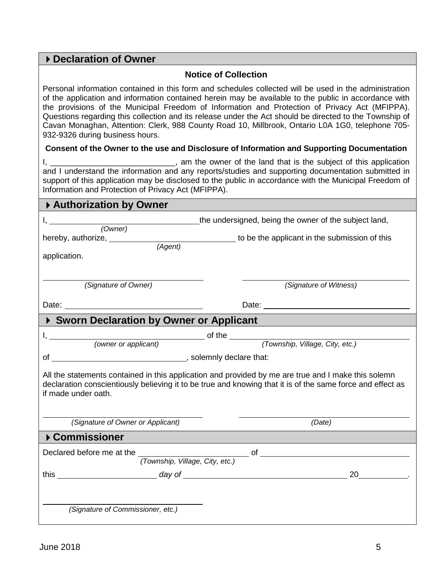| Declaration of Owner                                |                                                                                                                                                                                                                                                                                                                                                                                                                                                                                                                                  |  |  |  |
|-----------------------------------------------------|----------------------------------------------------------------------------------------------------------------------------------------------------------------------------------------------------------------------------------------------------------------------------------------------------------------------------------------------------------------------------------------------------------------------------------------------------------------------------------------------------------------------------------|--|--|--|
|                                                     | <b>Notice of Collection</b>                                                                                                                                                                                                                                                                                                                                                                                                                                                                                                      |  |  |  |
| 932-9326 during business hours.                     | Personal information contained in this form and schedules collected will be used in the administration<br>of the application and information contained herein may be available to the public in accordance with<br>the provisions of the Municipal Freedom of Information and Protection of Privacy Act (MFIPPA).<br>Questions regarding this collection and its release under the Act should be directed to the Township of<br>Cavan Monaghan, Attention: Clerk, 988 County Road 10, Millbrook, Ontario L0A 1G0, telephone 705- |  |  |  |
|                                                     | Consent of the Owner to the use and Disclosure of Information and Supporting Documentation                                                                                                                                                                                                                                                                                                                                                                                                                                       |  |  |  |
| Information and Protection of Privacy Act (MFIPPA). | I, __________________________________, am the owner of the land that is the subject of this application<br>and I understand the information and any reports/studies and supporting documentation submitted in<br>support of this application may be disclosed to the public in accordance with the Municipal Freedom of                                                                                                                                                                                                          |  |  |  |
| ▶ Authorization by Owner                            |                                                                                                                                                                                                                                                                                                                                                                                                                                                                                                                                  |  |  |  |
|                                                     |                                                                                                                                                                                                                                                                                                                                                                                                                                                                                                                                  |  |  |  |
|                                                     |                                                                                                                                                                                                                                                                                                                                                                                                                                                                                                                                  |  |  |  |
| application.<br>(Signature of Owner)                | (Signature of Witness)                                                                                                                                                                                                                                                                                                                                                                                                                                                                                                           |  |  |  |
|                                                     |                                                                                                                                                                                                                                                                                                                                                                                                                                                                                                                                  |  |  |  |
|                                                     | Date: <u>Date:</u> 2004                                                                                                                                                                                                                                                                                                                                                                                                                                                                                                          |  |  |  |
|                                                     | ▶ Sworn Declaration by Owner or Applicant                                                                                                                                                                                                                                                                                                                                                                                                                                                                                        |  |  |  |
|                                                     | of the <i>(Township, Village, City, etc.)</i>                                                                                                                                                                                                                                                                                                                                                                                                                                                                                    |  |  |  |
|                                                     |                                                                                                                                                                                                                                                                                                                                                                                                                                                                                                                                  |  |  |  |
|                                                     |                                                                                                                                                                                                                                                                                                                                                                                                                                                                                                                                  |  |  |  |
| if made under oath.                                 | All the statements contained in this application and provided by me are true and I make this solemn<br>declaration conscientiously believing it to be true and knowing that it is of the same force and effect as                                                                                                                                                                                                                                                                                                                |  |  |  |
| (Signature of Owner or Applicant)                   | (Date)                                                                                                                                                                                                                                                                                                                                                                                                                                                                                                                           |  |  |  |
| ▶ Commissioner                                      |                                                                                                                                                                                                                                                                                                                                                                                                                                                                                                                                  |  |  |  |
|                                                     | Declared before me at the $\frac{1}{(Township, Village, City, etc.)}$ of ________________________________                                                                                                                                                                                                                                                                                                                                                                                                                        |  |  |  |
|                                                     |                                                                                                                                                                                                                                                                                                                                                                                                                                                                                                                                  |  |  |  |
|                                                     |                                                                                                                                                                                                                                                                                                                                                                                                                                                                                                                                  |  |  |  |
|                                                     |                                                                                                                                                                                                                                                                                                                                                                                                                                                                                                                                  |  |  |  |
| (Signature of Commissioner, etc.)                   |                                                                                                                                                                                                                                                                                                                                                                                                                                                                                                                                  |  |  |  |